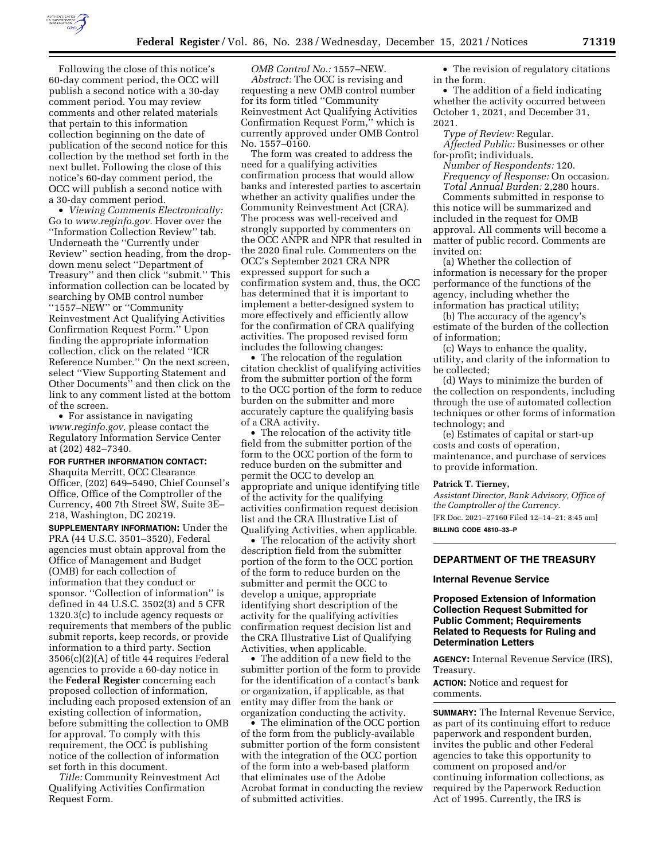

Following the close of this notice's 60-day comment period, the OCC will publish a second notice with a 30-day comment period. You may review comments and other related materials that pertain to this information collection beginning on the date of publication of the second notice for this collection by the method set forth in the next bullet. Following the close of this notice's 60-day comment period, the OCC will publish a second notice with a 30-day comment period.

• *Viewing Comments Electronically:*  Go to *[www.reginfo.gov.](http://www.reginfo.gov)* Hover over the ''Information Collection Review'' tab. Underneath the ''Currently under Review'' section heading, from the dropdown menu select ''Department of Treasury'' and then click ''submit.'' This information collection can be located by searching by OMB control number ''1557–NEW'' or ''Community Reinvestment Act Qualifying Activities Confirmation Request Form.'' Upon finding the appropriate information collection, click on the related ''ICR Reference Number.'' On the next screen, select ''View Supporting Statement and Other Documents'' and then click on the link to any comment listed at the bottom of the screen.

• For assistance in navigating *[www.reginfo.gov,](http://www.reginfo.gov)* please contact the Regulatory Information Service Center at (202) 482–7340.

#### **FOR FURTHER INFORMATION CONTACT:**

Shaquita Merritt, OCC Clearance Officer, (202) 649–5490, Chief Counsel's Office, Office of the Comptroller of the Currency, 400 7th Street SW, Suite 3E– 218, Washington, DC 20219.

**SUPPLEMENTARY INFORMATION:** Under the PRA (44 U.S.C. 3501–3520), Federal agencies must obtain approval from the Office of Management and Budget (OMB) for each collection of information that they conduct or sponsor. ''Collection of information'' is defined in 44 U.S.C. 3502(3) and 5 CFR 1320.3(c) to include agency requests or requirements that members of the public submit reports, keep records, or provide information to a third party. Section 3506(c)(2)(A) of title 44 requires Federal agencies to provide a 60-day notice in the **Federal Register** concerning each proposed collection of information, including each proposed extension of an existing collection of information, before submitting the collection to OMB for approval. To comply with this requirement, the OCC is publishing notice of the collection of information set forth in this document.

*Title:* Community Reinvestment Act Qualifying Activities Confirmation Request Form.

*OMB Control No.:* 1557–NEW. *Abstract:* The OCC is revising and requesting a new OMB control number for its form titled ''Community Reinvestment Act Qualifying Activities Confirmation Request Form,'' which is currently approved under OMB Control No. 1557–0160.

The form was created to address the need for a qualifying activities confirmation process that would allow banks and interested parties to ascertain whether an activity qualifies under the Community Reinvestment Act (CRA). The process was well-received and strongly supported by commenters on the OCC ANPR and NPR that resulted in the 2020 final rule. Commenters on the OCC's September 2021 CRA NPR expressed support for such a confirmation system and, thus, the OCC has determined that it is important to implement a better-designed system to more effectively and efficiently allow for the confirmation of CRA qualifying activities. The proposed revised form includes the following changes:

• The relocation of the regulation citation checklist of qualifying activities from the submitter portion of the form to the OCC portion of the form to reduce burden on the submitter and more accurately capture the qualifying basis of a CRA activity.

• The relocation of the activity title field from the submitter portion of the form to the OCC portion of the form to reduce burden on the submitter and permit the OCC to develop an appropriate and unique identifying title of the activity for the qualifying activities confirmation request decision list and the CRA Illustrative List of Qualifying Activities, when applicable.

• The relocation of the activity short description field from the submitter portion of the form to the OCC portion of the form to reduce burden on the submitter and permit the OCC to develop a unique, appropriate identifying short description of the activity for the qualifying activities confirmation request decision list and the CRA Illustrative List of Qualifying Activities, when applicable.

• The addition of a new field to the submitter portion of the form to provide for the identification of a contact's bank or organization, if applicable, as that entity may differ from the bank or organization conducting the activity.

• The elimination of the OCC portion of the form from the publicly-available submitter portion of the form consistent with the integration of the OCC portion of the form into a web-based platform that eliminates use of the Adobe Acrobat format in conducting the review of submitted activities.

• The revision of regulatory citations in the form.

• The addition of a field indicating whether the activity occurred between October 1, 2021, and December 31, 2021.

*Type of Review:* Regular.

*Affected Public:* Businesses or other for-profit; individuals.

*Number of Respondents:* 120. *Frequency of Response:* On occasion. *Total Annual Burden:* 2,280 hours.

Comments submitted in response to this notice will be summarized and included in the request for OMB approval. All comments will become a matter of public record. Comments are invited on:

(a) Whether the collection of information is necessary for the proper performance of the functions of the agency, including whether the information has practical utility;

(b) The accuracy of the agency's estimate of the burden of the collection of information;

(c) Ways to enhance the quality, utility, and clarity of the information to be collected;

(d) Ways to minimize the burden of the collection on respondents, including through the use of automated collection techniques or other forms of information technology; and

(e) Estimates of capital or start-up costs and costs of operation, maintenance, and purchase of services to provide information.

### **Patrick T. Tierney,**

*Assistant Director, Bank Advisory, Office of the Comptroller of the Currency.*  [FR Doc. 2021–27160 Filed 12–14–21; 8:45 am] **BILLING CODE 4810–33–P** 

**DEPARTMENT OF THE TREASURY** 

### **Internal Revenue Service**

## **Proposed Extension of Information Collection Request Submitted for Public Comment; Requirements Related to Requests for Ruling and Determination Letters**

**AGENCY:** Internal Revenue Service (IRS), Treasury.

**ACTION:** Notice and request for comments.

**SUMMARY:** The Internal Revenue Service, as part of its continuing effort to reduce paperwork and respondent burden, invites the public and other Federal agencies to take this opportunity to comment on proposed and/or continuing information collections, as required by the Paperwork Reduction Act of 1995. Currently, the IRS is